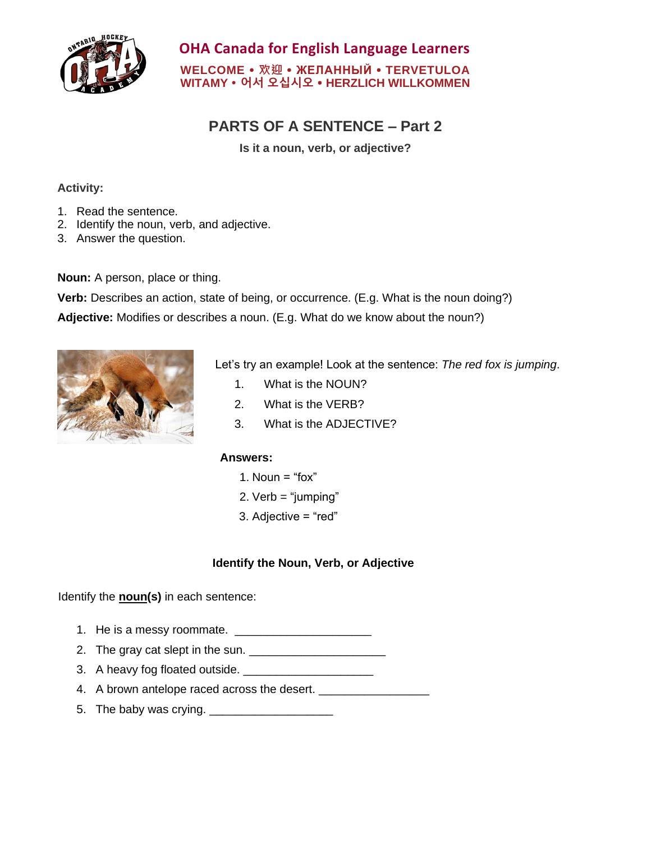

## **OHA Canada for English Language Learners WELCOME 欢迎 ЖЕЛАННЫЙ TERVETULOA**

**WITAMY 어서 오십시오 HERZLICH WILLKOMMEN**

# **PARTS OF A SENTENCE – Part 2**

**Is it a noun, verb, or adjective?**

#### **Activity:**

- 1. Read the sentence.
- 2. Identify the noun, verb, and adjective.
- 3. Answer the question.

**Noun:** A person, place or thing.

**Verb:** Describes an action, state of being, or occurrence. (E.g. What is the noun doing?)

**Adjective:** Modifies or describes a noun. (E.g. What do we know about the noun?)



Let's try an example! Look at the sentence: *The red fox is jumping*.

- 1. What is the NOUN?
- 2. What is the VERB?
- 3. What is the ADJECTIVE?

### **Answers:**

- 1. Noun  $=$  "fox"
- 2. Verb = "jumping"
- 3. Adjective = "red"

### **Identify the Noun, Verb, or Adjective**

Identify the **noun(s)** in each sentence:

- 1. He is a messy roommate. \_\_\_\_\_\_\_\_\_\_\_\_\_\_\_\_\_\_\_\_\_
- 2. The gray cat slept in the sun. \_\_\_\_\_\_\_\_\_\_\_\_\_\_\_\_\_\_\_\_\_
- 3. A heavy fog floated outside. \_\_\_\_\_\_\_\_\_\_\_\_\_\_\_\_\_\_\_\_
- 4. A brown antelope raced across the desert.
- 5. The baby was crying. \_\_\_\_\_\_\_\_\_\_\_\_\_\_\_\_\_\_\_